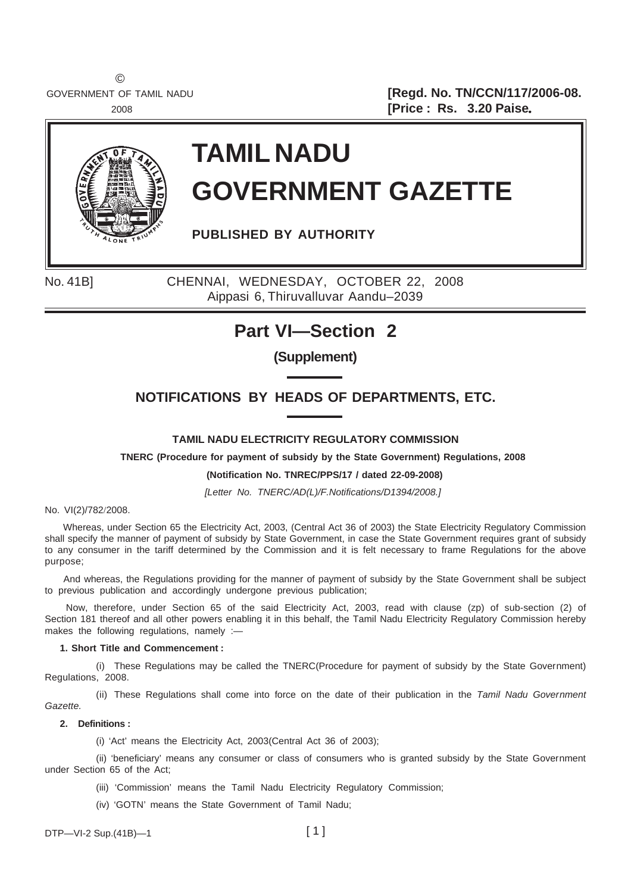©

GOVERNMENT OF TAMIL NADU **[Regd. No. TN/CCN/117/2006-08.** <sup>2008</sup> **[Price : Rs. 3.20 Paise**.



# **TAMIL NADU GOVERNMENT GAZETTE**

**PUBLISHED BY AUTHORITY**

No. 41B] CHENNAI, WEDNESDAY, OCTOBER 22, 2008 Aippasi 6, Thiruvalluvar Aandu–2039

# **Part VI—Section 2**

**(Supplement)**

# **NOTIFICATIONS BY HEADS OF DEPARTMENTS, ETC.**

### **TAMIL NADU ELECTRICITY REGULATORY COMMISSION**

**TNERC (Procedure for payment of subsidy by the State Government) Regulations, 2008**

#### **(Notification No. TNREC/PPS/17 / dated 22-09-2008)**

*[Letter No. TNERC/AD(L)/F.Notifications/D1394/2008.]*

No. VI(2)/782/2008.

 Whereas, under Section 65 the Electricity Act, 2003, (Central Act 36 of 2003) the State Electricity Regulatory Commission shall specify the manner of payment of subsidy by State Government, in case the State Government requires grant of subsidy to any consumer in the tariff determined by the Commission and it is felt necessary to frame Regulations for the above purpose;

 And whereas, the Regulations providing for the manner of payment of subsidy by the State Government shall be subject to previous publication and accordingly undergone previous publication;

 Now, therefore, under Section 65 of the said Electricity Act, 2003, read with clause (zp) of sub-section (2) of Section 181 thereof and all other powers enabling it in this behalf, the Tamil Nadu Electricity Regulatory Commission hereby makes the following regulations, namely :-

#### **1. Short Title and Commencement :**

(i) These Regulations may be called the TNERC(Procedure for payment of subsidy by the State Government) Regulations, 2008.

(ii) These Regulations shall come into force on the date of their publication in the *Tamil Nadu Government Gazette.*

#### **2. Definitions :**

(i) 'Act' means the Electricity Act, 2003(Central Act 36 of 2003);

(ii) 'beneficiary' means any consumer or class of consumers who is granted subsidy by the State Government under Section 65 of the Act;

- (iii) 'Commission' means the Tamil Nadu Electricity Regulatory Commission;
- (iv) 'GOTN' means the State Government of Tamil Nadu;

 $DTP - VI - 2 Sup.(41B) - 1$  [1]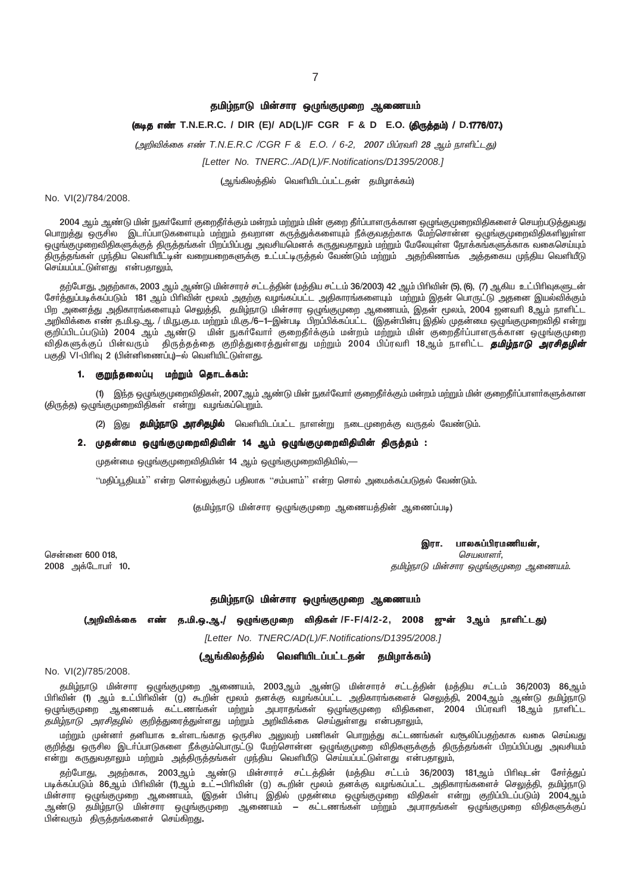#### தமிழ்நாடு மின்சார ஒழுங்குமுறை ஆணையம்

# (கடித எண் T.N.E.R.C. / DIR (E)/ AD(L)/F CGR F & D E.O. (திருத்தம்) / D.1776/07.)

(அறிவிக்கை எண் T.N.E.R.C /CGR F & E.O. / 6-2, 2007 பிப்ரவரி 28 ஆம் நாளிட்டது)

[Letter No. TNERC../AD(L)/F.Notifications/D1395/2008.]

(ஆங்கிலத்தில் வெளியிடப்பட்டதன் தமிழாக்கம்)

#### No. VI(2)/784/2008.

2004 ஆம் ஆண்டு மின் நுகா்வோா் குறைதீா்க்கும் மன்றம் மற்றும் மின் குறை தீா்ப்பாளருக்கான ஒழுங்குமுறைவிதிகளைச் செயற்படுத்துவது பொறுத்து ஒருசில இடா்ப்பாடுகளையும் மற்றும் தவறான கருத்துக்களையும் நீக்குவதற்காக மேற்சொன்ன ஒழுங்குமுறைவிதிகளிலுள்ள ஒழுங்குமுறைவிதிகளுக்குத் திருத்தங்கள் பிறப்பிப்பது அவசியமெனக் கருதுவதாலும் மற்றும் மேலேயுள்ள நோக்கங்களுக்காக வகைசெய்யும் திருத்தங்கள் முந்திய வெளியீட்டின் வறையறைகளுக்கு உட்பட்டிருத்தல் வேண்டும் மற்றும் அதற்கிணங்க அத்தகைய முந்திய வெளியீடு செய்யப்பட்டுள்ளது என்பதாலும்,

தற்போது, அதற்காக, 2003 ஆம் ஆண்டு மின்சாரச் சட்டத்தின் (மத்திய சட்டம் 36/2003) 42 ஆம் பிரிவின் (5), (6), (7) ஆகிய உட்பிரிவுகளுடன் சேர்த்துப்படிக்கப்படும் 181 ஆம் பிரிவின் மூலம் அதற்கு வழங்கப்பட்ட அதிகாரங்களையும் மற்றும் இதன் பொருட்டு அதனை இயல்விக்கும் பிற அனைத்து அதிகாரங்களையும் செலுத்தி, தமிழ்நாடு மின்சார ஒழுங்குமுறை ஆணையம், இதன் மூலம், 2004 ஜனவாி 8ஆம் நாளிட்ட அறிவிக்கை எண் த.மி.ஒ.ஆ. / மி.நு.கு.ம. மற்றும் மி.கு./6—1—இன்படி பிறப்பிக்கப்பட்ட (இதன்பின்பு இதில் முதன்மை ஒழுங்குமுறைவிதி என்று குறிப்பிடப்படும்) 2004 ஆம் ஆண்டு மின் நுகர்வோர் குறைதீர்க்கும் மன்றம் மற்றும் மின் குறைதீர்ப்பாளருக்கான ஒழுங்குமுறை ு,<br>விதிகளுக்குப் பின்வரும் திருத்தத்தை குறித்துரைத்துள்ளது மற்றும் 2004 பிப்ரவரி 18ஆம் நாளிட்ட **தமிழ்நாடு** *அரசிதழின்* பகுதி VI-பிரிவு 2 (பின்னிணைப்பு)–ல் வெளியிட்டுள்ளது.

#### 1. குறுந்தலைப்பு மற்றும் தொடக்கம்:

இந்த ஒழுங்குமுறைவிதிகள், 2007ஆம் ஆண்டு மின் நுகா்வோா் குறைதீா்க்கும் மன்றம் மற்றும் மின் குறைதீா்ப்பாளா்களுக்கான  $(1)$ (திருத்த) ஒழுங்குமுறைவிதிகள் என்று வழங்கப்பெறும்.

(2) இது **தமிழ்நாடு அரசிதழில்** வெளியிடப்பட்ட நாளன்று நடைமுறைக்கு வருதல் வேண்டும்.

#### 2. முதன்மை ஒழுங்குமுறைவிதியின் 14 ஆம் ஒழுங்குமுறைவிதியின் திருத்தம் :

முதன்மை ஒழுங்குமுறைவிதியின் 14 ஆம் ஒழுங்குமுறைவிதியில்,—

''மதிப்பூதியம்'' என்ற சொல்லுக்குப் பதிலாக ''சம்பளம்'' என்ற சொல் அமைக்கப்படுதல் வேண்டும்.

(தமிழ்நாடு மின்சார ஒழுங்குமுறை ஆணையத்தின் ஆணைப்படி)

சென்னை 600 018, 2008 அக்டோபர் 10.

பாலசுப்பிரமணியன், இரா.

செயலாளர், தமிழ்நாடு மின்சார ஒழுங்குமுறை ஆணையம்.

#### தமிழ்நாடு மின்சார ஒழுங்குமுறை ஆணையம்

## (அறிவிக்கை எண் த.மி.ஒ.ஆ./ ஒழுங்குமுறை விதிகள்/F-F/4/2-2, 2008 ஜுன் 3ஆம் நாளிட்டது)

[Letter No. TNERC/AD(L)/F.Notifications/D1395/2008.]

(ஆங்கிலத்தில் வெளியிடப்பட்டதன் தமிழாக்கம்)

#### No. VI(2)/785/2008.

தமிழ்நாடு மின்சார ஒழுங்குமுறை ஆணையம், 2003ஆம் ஆண்டு மின்சாரச் சட்டத்தின் (மத்திய சட்டம் 36/2003) 86ஆம் பிரிவின் (1) ஆம் உட்பிரிவின் (g) கூறின் மூலம் தனக்கு வழங்கப்பட்ட அதிகாரங்களைச் செலுத்தி, 2004ஆம் ஆண்டு தமிழ்நாடு<br>ஒழுங்குமுறை ஆணையக் கட்டணங்கள் மற்றும் அபராதங்கள் ஒழுங்குமுறை விதிகளை, 2004 பிப்ரவரி 18ஆம் நாளிட்ட *தமிழ்நாடு அரசிதழில்* குறித்துரைத்துள்ளது மற்றும் அறிவிக்கை செய்துள்ளது என்பதாலும்,

மற்றும் முன்னா் தனியாக உள்ளடங்காத ஒருசில அலுவற் பணிகள் பொறுத்து கட்டணங்கள் வசூலிப்பதற்காக வகை செய்வது குறித்து ஒருசில இடா்ப்பாடுகளை நீக்கும்பொருட்டு மேற்சொன்ன ஒழுங்குமுறை விதிகளுக்குத் திருத்தங்கள் பிறப்பிப்பது அவசியம் என்று கருதுவதாலும் மற்றும் அத்திருத்தங்கள் முந்திய வெளியீடு செய்யப்பட்டுள்ளது என்பதாலும்,

தற்போது, அதற்காக, 2003ஆம் ஆண்டு மின்சாரச் சட்டத்தின் (மத்திய சட்டம் 36/2003) 181ஆம் பிரிவுடன் சேர்த்துப்<br>படிக்கப்படும் 86ஆம் பிரிவின் (1)ஆம் உட்—பிரிவின் (g) கூறின் மூலம் தனக்கு வழங்கப்பட்ட அதிகாரங்களைச் செலுத்தி, தமிழ்நா மின்சார ஒழுங்குமுறை ஆணையம், (இதன் பின்பு இதில் முதன்மை ஒழுங்குமுறை விதிகள் என்று குறிப்பிடப்படும்) 2004ஆம் .<br>ஆண்டு தமிழ்நாடு மின்சார ஒழுங்குமுறை ஆணையம் — கட்டணங்கள் மற்றும் அபராதங்கள் ஒழுங்குமுறை விதிகளுக்குப் பின்வரும் திருத்தங்களைச் செய்கிறது.